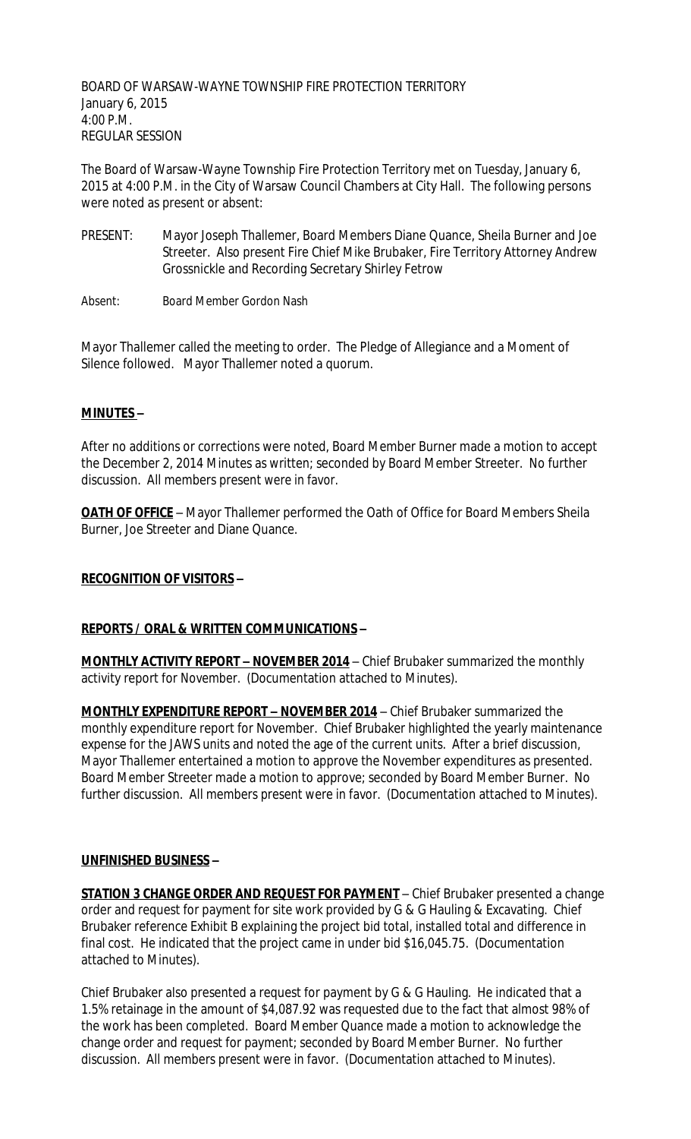BOARD OF WARSAW-WAYNE TOWNSHIP FIRE PROTECTION TERRITORY January 6, 2015 4:00 P.M. REGULAR SESSION

The Board of Warsaw-Wayne Township Fire Protection Territory met on Tuesday, January 6, 2015 at 4:00 P.M. in the City of Warsaw Council Chambers at City Hall. The following persons were noted as present or absent:

- PRESENT: Mayor Joseph Thallemer, Board Members Diane Quance, Sheila Burner and Joe Streeter. Also present Fire Chief Mike Brubaker, Fire Territory Attorney Andrew Grossnickle and Recording Secretary Shirley Fetrow
- Absent: Board Member Gordon Nash

Mayor Thallemer called the meeting to order. The Pledge of Allegiance and a Moment of Silence followed. Mayor Thallemer noted a quorum.

### **MINUTES –**

After no additions or corrections were noted, Board Member Burner made a motion to accept the December 2, 2014 Minutes as written; seconded by Board Member Streeter. No further discussion. All members present were in favor.

**OATH OF OFFICE** – Mayor Thallemer performed the Oath of Office for Board Members Sheila Burner, Joe Streeter and Diane Quance.

### **RECOGNITION OF VISITORS –**

### **REPORTS / ORAL & WRITTEN COMMUNICATIONS –**

**MONTHLY ACTIVITY REPORT - NOVEMBER 2014** - Chief Brubaker summarized the monthly activity report for November. (Documentation attached to Minutes).

**MONTHLY EXPENDITURE REPORT – NOVEMBER 2014** – Chief Brubaker summarized the monthly expenditure report for November. Chief Brubaker highlighted the yearly maintenance expense for the JAWS units and noted the age of the current units. After a brief discussion, Mayor Thallemer entertained a motion to approve the November expenditures as presented. Board Member Streeter made a motion to approve; seconded by Board Member Burner. No further discussion. All members present were in favor. (Documentation attached to Minutes).

#### **UNFINISHED BUSINESS –**

**STATION 3 CHANGE ORDER AND REQUEST FOR PAYMENT** – Chief Brubaker presented a change order and request for payment for site work provided by G & G Hauling & Excavating. Chief Brubaker reference Exhibit B explaining the project bid total, installed total and difference in final cost. He indicated that the project came in under bid \$16,045.75. (Documentation attached to Minutes).

Chief Brubaker also presented a request for payment by G & G Hauling. He indicated that a 1.5% retainage in the amount of \$4,087.92 was requested due to the fact that almost 98% of the work has been completed. Board Member Quance made a motion to acknowledge the change order and request for payment; seconded by Board Member Burner. No further discussion. All members present were in favor. (Documentation attached to Minutes).